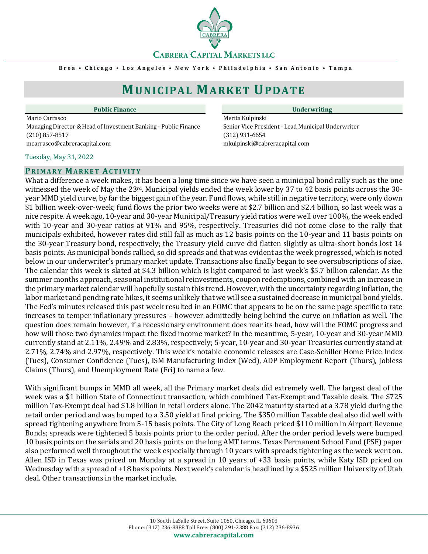**CABRERA CAPITAL MARKETS LLC** 

**B r e a • C h i c a g o • L o s A n g e l e s • N e w Y o r k • P h i l a d e l p h i a • S a n A n t o n i o • T a m p a**

# **MUNICIPAL MARKET UPDATE**

Mario Carrasco **Merita Kulpinski** Managing Director & Head of Investment Banking - Public Finance Senior Vice President - Lead Municipal Underwriter (210) 857-8517 (312) 931-6654 mcarrasco@cabreracapital.com mkulpinski@cabreracapital.com

#### Tuesday, May 31, 2022

#### **PR I M A R Y MA R K E T AC T I V I T Y**

**Public Finance Underwriting**

What a difference a week makes, it has been a long time since we have seen a municipal bond rally such as the one witnessed the week of May the 23rd. Municipal yields ended the week lower by 37 to 42 basis points across the 30 year MMD yield curve, by far the biggest gain of the year. Fund flows, while still in negative territory, were only down \$1 billion week-over-week; fund flows the prior two weeks were at \$2.7 billion and \$2.4 billion, so last week was a nice respite. A week ago, 10-year and 30-year Municipal/Treasury yield ratios were well over 100%, the week ended with 10-year and 30-year ratios at 91% and 95%, respectively. Treasuries did not come close to the rally that municipals exhibited, however rates did still fall as much as 12 basis points on the 10-year and 11 basis points on the 30-year Treasury bond, respectively; the Treasury yield curve did flatten slightly as ultra-short bonds lost 14 basis points. As municipal bonds rallied, so did spreads and that was evident as the week progressed, which is noted below in our underwriter's primary market update. Transactions also finally began to see oversubscriptions of size. The calendar this week is slated at \$4.3 billion which is light compared to last week's \$5.7 billion calendar. As the summer months approach, seasonal institutional reinvestments, coupon redemptions, combined with an increase in the primary market calendar will hopefully sustain this trend. However, with the uncertainty regarding inflation, the labor market and pending rate hikes, it seems unlikely that we will see a sustained decrease in municipal bond yields. The Fed's minutes released this past week resulted in an FOMC that appears to be on the same page specific to rate increases to temper inflationary pressures – however admittedly being behind the curve on inflation as well. The question does remain however, if a recessionary environment does rear its head, how will the FOMC progress and how will those two dynamics impact the fixed income market? In the meantime, 5-year, 10-year and 30-year MMD currently stand at 2.11%, 2.49% and 2.83%, respectively; 5-year, 10-year and 30-year Treasuries currently stand at 2.71%, 2.74% and 2.97%, respectively. This week's notable economic releases are Case-Schiller Home Price Index (Tues), Consumer Confidence (Tues), ISM Manufacturing Index (Wed), ADP Employment Report (Thurs), Jobless Claims (Thurs), and Unemployment Rate (Fri) to name a few.

With significant bumps in MMD all week, all the Primary market deals did extremely well. The largest deal of the week was a \$1 billion State of Connecticut transaction, which combined Tax-Exempt and Taxable deals. The \$725 million Tax-Exempt deal had \$1.8 billion in retail orders alone. The 2042 maturity started at a 3.78 yield during the retail order period and was bumped to a 3.50 yield at final pricing. The \$350 million Taxable deal also did well with spread tightening anywhere from 5-15 basis points. The City of Long Beach priced \$110 million in Airport Revenue Bonds; spreads were tightened 5 basis points prior to the order period. After the order period levels were bumped 10 basis points on the serials and 20 basis points on the long AMT terms. Texas Permanent School Fund (PSF) paper also performed well throughout the week especially through 10 years with spreads tightening as the week went on. Allen ISD in Texas was priced on Monday at a spread in 10 years of +33 basis points, while Katy ISD priced on Wednesday with a spread of +18 basis points. Next week's calendar is headlined by a \$525 million University of Utah deal. Other transactions in the market include.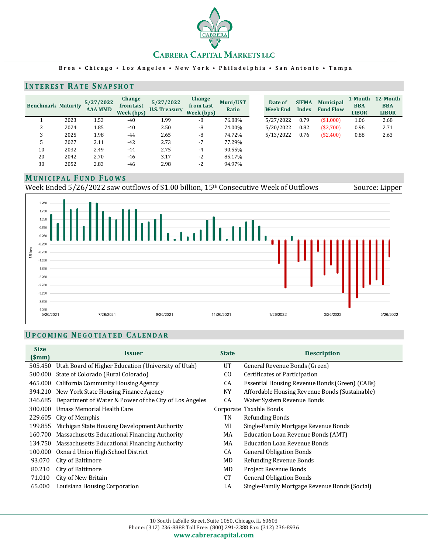

#### **B r e a • C h i c a g o • L o s A n g e l e s • N e w Y o r k • P h i l a d e l p h i a • S a n A n t o n i o • T a m p a**

### **INTEREST RATE SNAPSHOT**

| <b>Benchmark Maturity</b> |      | 5/27/2022<br><b>AAA MMD</b> | Change<br>from Last<br>Week (bps) | 5/27/2022<br><b>U.S. Treasury</b> | Change<br>from Last<br>Week (bps) | Muni/UST<br>Ratio | Date of<br><b>Week End</b> | <b>SIFMA</b><br><b>Index</b> | <b>Municipal</b><br><b>Fund Flow</b> | 1-Month<br><b>BBA</b><br><b>LIBOR</b> | 12-Month<br><b>BBA</b><br><b>LIBOR</b> |
|---------------------------|------|-----------------------------|-----------------------------------|-----------------------------------|-----------------------------------|-------------------|----------------------------|------------------------------|--------------------------------------|---------------------------------------|----------------------------------------|
|                           | 2023 | 1.53                        | $-40$                             | 1.99                              | -8                                | 76.88%            | 5/27/2022                  | 0.79                         | (\$1,000)                            | 1.06                                  | 2.68                                   |
| ∠                         | 2024 | 1.85                        | $-40$                             | 2.50                              | -8                                | 74.00%            | 5/20/2022                  | 0.82                         | (\$2,700)                            | 0.96                                  | 2.71                                   |
|                           | 2025 | 1.98                        | -44                               | 2.65                              | -8                                | 74.72%            | 5/13/2022                  | 0.76                         | (\$2,400)                            | 0.88                                  | 2.63                                   |
| 5                         | 2027 | 2.11                        | $-42$                             | 2.73                              | $-7$                              | 77.29%            |                            |                              |                                      |                                       |                                        |
| 10                        | 2032 | 2.49                        | -44                               | 2.75                              | $-4$                              | 90.55%            |                            |                              |                                      |                                       |                                        |
| 20                        | 2042 | 2.70                        | $-46$                             | 3.17                              | $-2$                              | 85.17%            |                            |                              |                                      |                                       |                                        |
| 30                        | 2052 | 2.83                        | -46                               | 2.98                              | $-2$                              | 94.97%            |                            |                              |                                      |                                       |                                        |

#### **MU N I C I P A L FU N D FL O W S**

Week Ended 5/26/2022 saw outflows of \$1.00 billion, 15<sup>th</sup> Consecutive Week of Outflows Source: Lipper



# **UP C O M I N G NE G O T I A T E D CA L E N D A R**

|             | UPCOMING NEGOTIATED CALENDAR                           |              |                                                |
|-------------|--------------------------------------------------------|--------------|------------------------------------------------|
| <b>Size</b> |                                                        |              |                                                |
| (Smm)       | <b>Issuer</b>                                          | <b>State</b> | <b>Description</b>                             |
| 505.450     | Utah Board of Higher Education (University of Utah)    | UT           | General Revenue Bonds (Green)                  |
| 500.000     | State of Colorado (Rural Colorado)                     | CO.          | Certificates of Participation                  |
| 465.000     | California Community Housing Agency                    | CA           | Essential Housing Revenue Bonds (Green) (CABs) |
| 394.210     | New York State Housing Finance Agency                  | <b>NY</b>    | Affordable Housing Revenue Bonds (Sustainable) |
| 346.685     | Department of Water & Power of the City of Los Angeles | CA           | Water System Revenue Bonds                     |
| 300.000     | Umass Memorial Health Care                             |              | Corporate Taxable Bonds                        |
| 229.605     | City of Memphis                                        | TN           | <b>Refunding Bonds</b>                         |
| 199.855     | Michigan State Housing Development Authority           | MI           | Single-Family Mortgage Revenue Bonds           |
| 160.700     | Massachusetts Educational Financing Authority          | MA           | <b>Education Loan Revenue Bonds (AMT)</b>      |
| 134.750     | Massachusetts Educational Financing Authority          | MA           | <b>Education Loan Revenue Bonds</b>            |
| 100.000     | Oxnard Union High School District                      | CA           | <b>General Obligation Bonds</b>                |
| 93.070      | City of Baltimore                                      | MD           | Refunding Revenue Bonds                        |
| 80.210      | City of Baltimore                                      | MD           | Project Revenue Bonds                          |
| 71.010      | City of New Britain                                    | <b>CT</b>    | <b>General Obligation Bonds</b>                |
| 65.000      | Louisiana Housing Corporation                          | LA           | Single-Family Mortgage Revenue Bonds (Social)  |
|             |                                                        |              |                                                |